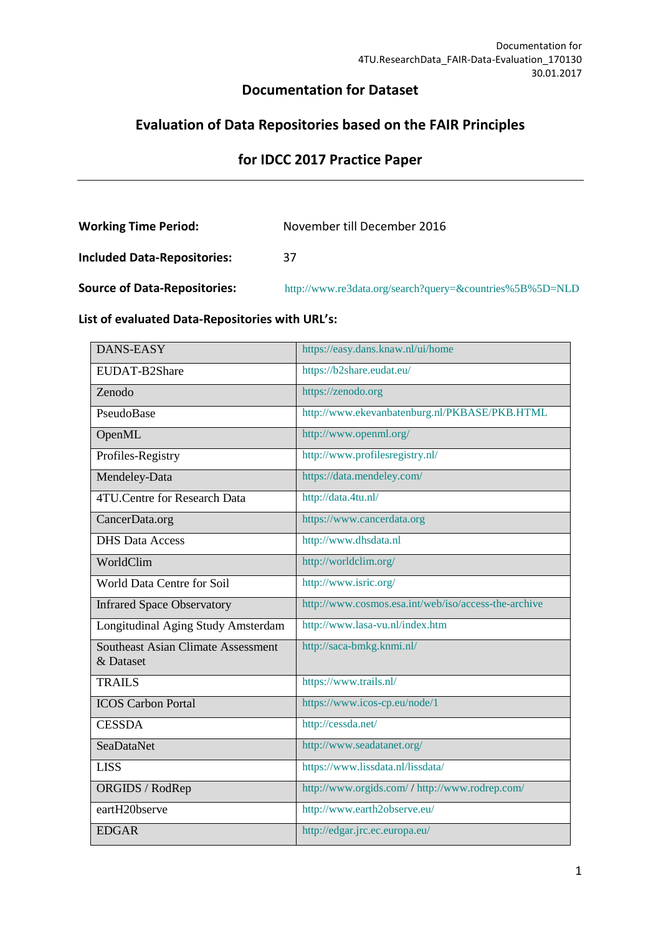# **Documentation for Dataset**

# **Evaluation of Data Repositories based on the FAIR Principles**

# **for IDCC 2017 Practice Paper**

| <b>Working Time Period:</b>         | November till December 2016                              |
|-------------------------------------|----------------------------------------------------------|
| <b>Included Data-Repositories:</b>  | 37                                                       |
| <b>Source of Data-Repositories:</b> | http://www.re3data.org/search?query=&countries%5B%5D=NLD |

# **List of evaluated Data-Repositories with URL's:**

| DANS-EASY                                              | https://easy.dans.knaw.nl/ui/home                    |
|--------------------------------------------------------|------------------------------------------------------|
| EUDAT-B2Share                                          | https://b2share.eudat.eu/                            |
| Zenodo                                                 | https://zenodo.org                                   |
| PseudoBase                                             | http://www.ekevanbatenburg.nl/PKBASE/PKB.HTML        |
| OpenML                                                 | http://www.openml.org/                               |
| Profiles-Registry                                      | http://www.profilesregistry.nl/                      |
| Mendeley-Data                                          | https://data.mendeley.com/                           |
| <b>4TU.Centre for Research Data</b>                    | http://data.4tu.nl/                                  |
| CancerData.org                                         | https://www.cancerdata.org                           |
| <b>DHS Data Access</b>                                 | http://www.dhsdata.nl                                |
| WorldClim                                              | http://worldclim.org/                                |
| World Data Centre for Soil                             | http://www.isric.org/                                |
| <b>Infrared Space Observatory</b>                      | http://www.cosmos.esa.int/web/iso/access-the-archive |
| Longitudinal Aging Study Amsterdam                     | http://www.lasa-vu.nl/index.htm                      |
| <b>Southeast Asian Climate Assessment</b><br>& Dataset | http://saca-bmkg.knmi.nl/                            |
| <b>TRAILS</b>                                          | https://www.trails.nl/                               |
| <b>ICOS Carbon Portal</b>                              | https://www.icos-cp.eu/node/1                        |
| <b>CESSDA</b>                                          | http://cessda.net/                                   |
| <b>SeaDataNet</b>                                      | http://www.seadatanet.org/                           |
| <b>LISS</b>                                            | https://www.lissdata.nl/lissdata/                    |
| ORGIDS / RodRep                                        | http://www.orgids.com/ / http://www.rodrep.com/      |
| eartH20bserve                                          | http://www.earth2observe.eu/                         |
| <b>EDGAR</b>                                           | http://edgar.jrc.ec.europa.eu/                       |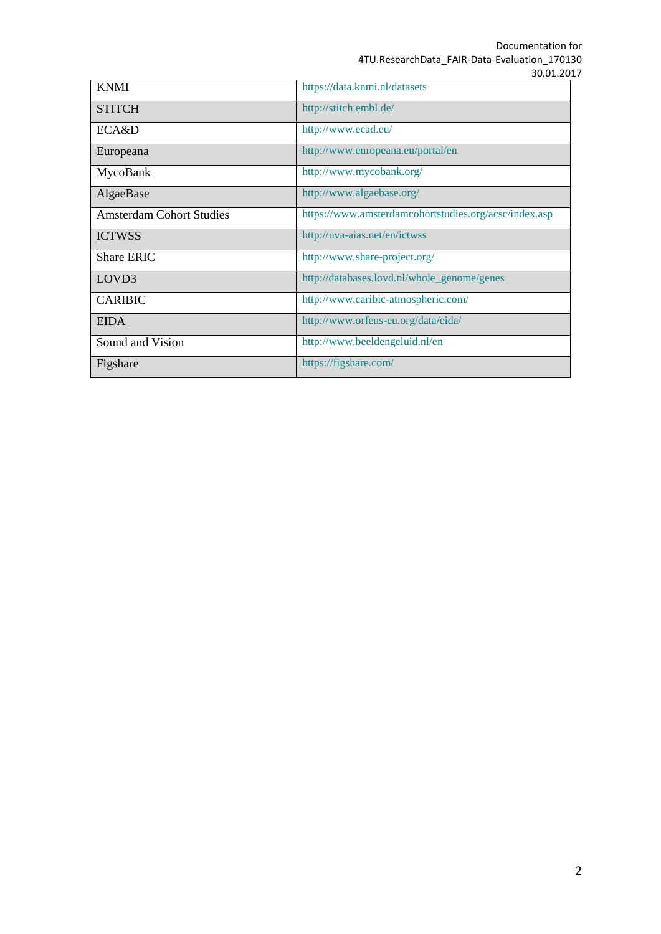Documentation for 4TU.ResearchData\_FAIR-Data-Evaluation\_170130 30.01.2017

| <b>KNMI</b>                     | https://data.knmi.nl/datasets                         |
|---------------------------------|-------------------------------------------------------|
| <b>STITCH</b>                   | http://stitch.embl.de/                                |
| ECA&D                           | http://www.ecad.eu/                                   |
| Europeana                       | http://www.europeana.eu/portal/en                     |
| MycoBank                        | http://www.mycobank.org/                              |
| AlgaeBase                       | http://www.algaebase.org/                             |
| <b>Amsterdam Cohort Studies</b> | https://www.amsterdamcohortstudies.org/acsc/index.asp |
| <b>ICTWSS</b>                   | http://uva-aias.net/en/ictwss                         |
| <b>Share ERIC</b>               | http://www.share-project.org/                         |
| LOVD <sub>3</sub>               | http://databases.lovd.nl/whole_genome/genes           |
| <b>CARIBIC</b>                  | http://www.caribic-atmospheric.com/                   |
| <b>EIDA</b>                     | http://www.orfeus-eu.org/data/eida/                   |
| Sound and Vision                | http://www.beeldengeluid.nl/en                        |
| Figshare                        | https://figshare.com/                                 |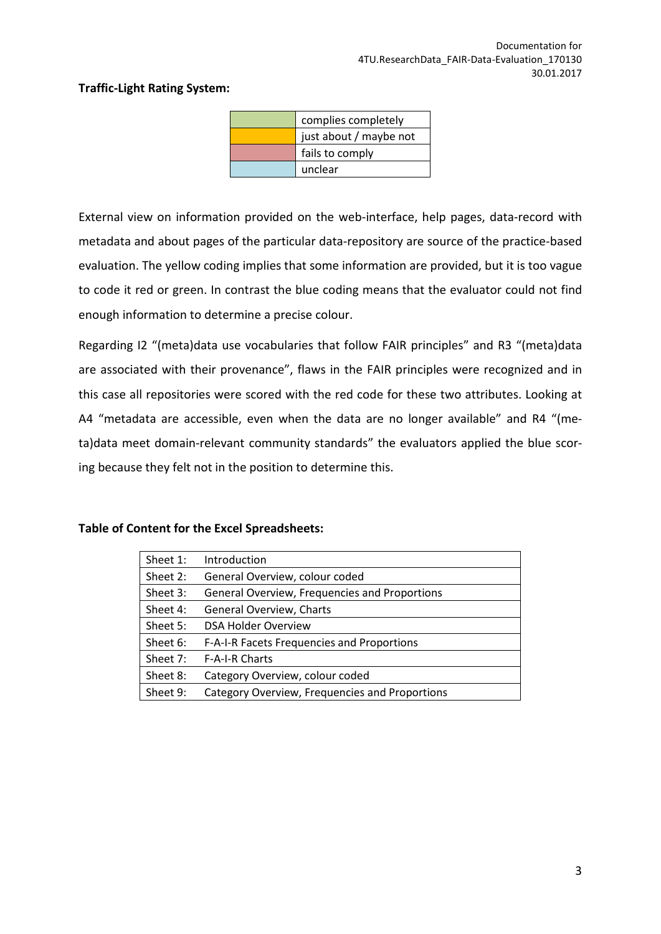## **Traffic-Light Rating System:**

| complies completely    |
|------------------------|
| just about / maybe not |
| fails to comply        |
| unclear                |

External view on information provided on the web-interface, help pages, data-record with metadata and about pages of the particular data-repository are source of the practice-based evaluation. The yellow coding implies that some information are provided, but it is too vague to code it red or green. In contrast the blue coding means that the evaluator could not find enough information to determine a precise colour.

Regarding I2 "(meta)data use vocabularies that follow FAIR principles" and R3 "(meta)data are associated with their provenance", flaws in the FAIR principles were recognized and in this case all repositories were scored with the red code for these two attributes. Looking at A4 "metadata are accessible, even when the data are no longer available" and R4 "(meta)data meet domain-relevant community standards" the evaluators applied the blue scoring because they felt not in the position to determine this.

#### **Table of Content for the Excel Spreadsheets:**

| Sheet 1: | Introduction                                   |
|----------|------------------------------------------------|
| Sheet 2: | General Overview, colour coded                 |
| Sheet 3: | General Overview, Frequencies and Proportions  |
| Sheet 4: | <b>General Overview, Charts</b>                |
| Sheet 5: | <b>DSA Holder Overview</b>                     |
| Sheet 6: | F-A-I-R Facets Frequencies and Proportions     |
| Sheet 7: | <b>F-A-I-R Charts</b>                          |
| Sheet 8: | Category Overview, colour coded                |
| Sheet 9: | Category Overview, Frequencies and Proportions |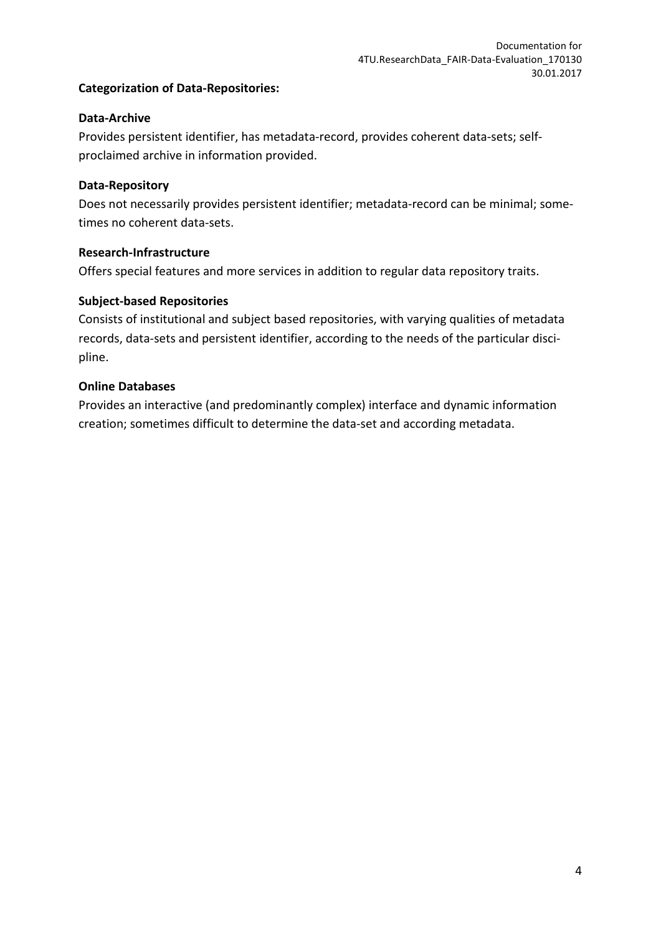# **Categorization of Data-Repositories:**

#### **Data-Archive**

Provides persistent identifier, has metadata-record, provides coherent data-sets; selfproclaimed archive in information provided.

#### **Data-Repository**

Does not necessarily provides persistent identifier; metadata-record can be minimal; sometimes no coherent data-sets.

#### **Research-Infrastructure**

Offers special features and more services in addition to regular data repository traits.

#### **Subject-based Repositories**

Consists of institutional and subject based repositories, with varying qualities of metadata records, data-sets and persistent identifier, according to the needs of the particular discipline.

#### **Online Databases**

Provides an interactive (and predominantly complex) interface and dynamic information creation; sometimes difficult to determine the data-set and according metadata.